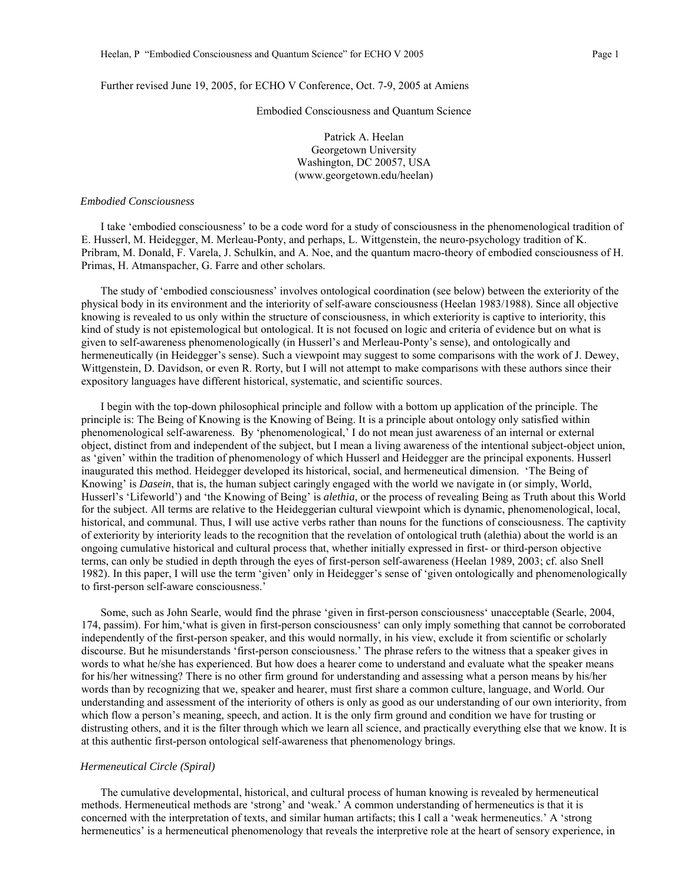## Further revised June 19, 2005, for ECHO V Conference, Oct. 7-9, 2005 at Amiens

Embodied Consciousness and Quantum Science

Patrick A. Heelan Georgetown University Washington, DC 20057, USA (www.georgetown.edu/heelan)

## *Embodied Consciousness*

I take 'embodied consciousness' to be a code word for a study of consciousness in the phenomenological tradition of E. Husserl, M. Heidegger, M. Merleau-Ponty, and perhaps, L. Wittgenstein, the neuro-psychology tradition of K. Pribram, M. Donald, F. Varela, J. Schulkin, and A. Noe, and the quantum macro-theory of embodied consciousness of H. Primas, H. Atmanspacher, G. Farre and other scholars.

The study of 'embodied consciousness' involves ontological coordination (see below) between the exteriority of the physical body in its environment and the interiority of self-aware consciousness (Heelan 1983/1988). Since all objective knowing is revealed to us only within the structure of consciousness, in which exteriority is captive to interiority, this kind of study is not epistemological but ontological. It is not focused on logic and criteria of evidence but on what is given to self-awareness phenomenologically (in Husserl's and Merleau-Ponty's sense), and ontologically and hermeneutically (in Heidegger's sense). Such a viewpoint may suggest to some comparisons with the work of J. Dewey, Wittgenstein, D. Davidson, or even R. Rorty, but I will not attempt to make comparisons with these authors since their expository languages have different historical, systematic, and scientific sources.

I begin with the top-down philosophical principle and follow with a bottom up application of the principle. The principle is: The Being of Knowing is the Knowing of Being. It is a principle about ontology only satisfied within phenomenological self-awareness. By 'phenomenological,' I do not mean just awareness of an internal or external object, distinct from and independent of the subject, but I mean a living awareness of the intentional subject-object union, as 'given' within the tradition of phenomenology of which Husserl and Heidegger are the principal exponents. Husserl inaugurated this method. Heidegger developed its historical, social, and hermeneutical dimension. 'The Being of Knowing' is *Dasein*, that is, the human subject caringly engaged with the world we navigate in (or simply, World, Husserl's 'Lifeworld') and 'the Knowing of Being' is *alethia,* or the process of revealing Being as Truth about this World for the subject. All terms are relative to the Heideggerian cultural viewpoint which is dynamic, phenomenological, local, historical, and communal. Thus, I will use active verbs rather than nouns for the functions of consciousness. The captivity of exteriority by interiority leads to the recognition that the revelation of ontological truth (alethia) about the world is an ongoing cumulative historical and cultural process that, whether initially expressed in first- or third-person objective terms, can only be studied in depth through the eyes of first-person self-awareness (Heelan 1989, 2003; cf. also Snell 1982). In this paper, I will use the term 'given' only in Heidegger's sense of 'given ontologically and phenomenologically to first-person self-aware consciousness.'

Some, such as John Searle, would find the phrase 'given in first-person consciousness' unacceptable (Searle, 2004, 174, passim). For him,'what is given in first-person consciousness' can only imply something that cannot be corroborated independently of the first-person speaker, and this would normally, in his view, exclude it from scientific or scholarly discourse. But he misunderstands 'first-person consciousness.' The phrase refers to the witness that a speaker gives in words to what he/she has experienced. But how does a hearer come to understand and evaluate what the speaker means for his/her witnessing? There is no other firm ground for understanding and assessing what a person means by his/her words than by recognizing that we, speaker and hearer, must first share a common culture, language, and World. Our understanding and assessment of the interiority of others is only as good as our understanding of our own interiority, from which flow a person's meaning, speech, and action. It is the only firm ground and condition we have for trusting or distrusting others, and it is the filter through which we learn all science, and practically everything else that we know. It is at this authentic first-person ontological self-awareness that phenomenology brings.

# *Hermeneutical Circle (Spiral)*

The cumulative developmental, historical, and cultural process of human knowing is revealed by hermeneutical methods. Hermeneutical methods are 'strong' and 'weak.' A common understanding of hermeneutics is that it is concerned with the interpretation of texts, and similar human artifacts; this I call a 'weak hermeneutics.' A 'strong hermeneutics' is a hermeneutical phenomenology that reveals the interpretive role at the heart of sensory experience, in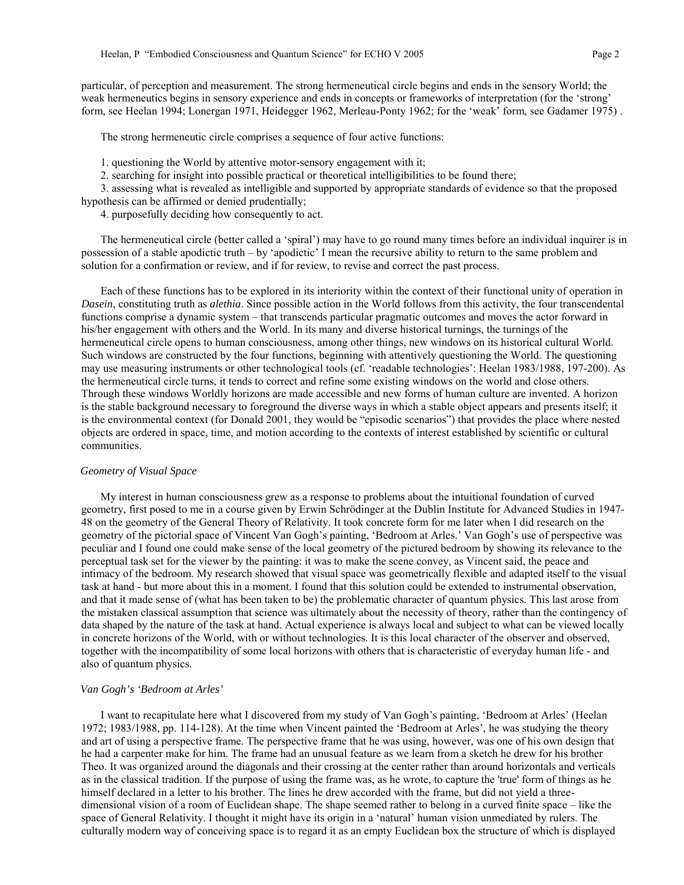particular, of perception and measurement. The strong hermeneutical circle begins and ends in the sensory World; the weak hermeneutics begins in sensory experience and ends in concepts or frameworks of interpretation (for the 'strong' form, see Heelan 1994; Lonergan 1971, Heidegger 1962, Merleau-Ponty 1962; for the 'weak' form, see Gadamer 1975) .

The strong hermeneutic circle comprises a sequence of four active functions:

1. questioning the World by attentive motor-sensory engagement with it;

2. searching for insight into possible practical or theoretical intelligibilities to be found there;

3. assessing what is revealed as intelligible and supported by appropriate standards of evidence so that the proposed hypothesis can be affirmed or denied prudentially;

4. purposefully deciding how consequently to act.

The hermeneutical circle (better called a 'spiral') may have to go round many times before an individual inquirer is in possession of a stable apodictic truth – by 'apodictic' I mean the recursive ability to return to the same problem and solution for a confirmation or review, and if for review, to revise and correct the past process.

Each of these functions has to be explored in its interiority within the context of their functional unity of operation in *Dasein*, constituting truth as *alethia*. Since possible action in the World follows from this activity, the four transcendental functions comprise a dynamic system – that transcends particular pragmatic outcomes and moves the actor forward in his/her engagement with others and the World. In its many and diverse historical turnings, the turnings of the hermeneutical circle opens to human consciousness, among other things, new windows on its historical cultural World. Such windows are constructed by the four functions, beginning with attentively questioning the World. The questioning may use measuring instruments or other technological tools (cf. 'readable technologies': Heelan 1983/1988, 197-200). As the hermeneutical circle turns, it tends to correct and refine some existing windows on the world and close others. Through these windows Worldly horizons are made accessible and new forms of human culture are invented. A horizon is the stable background necessary to foreground the diverse ways in which a stable object appears and presents itself; it is the environmental context (for Donald 2001, they would be "episodic scenarios") that provides the place where nested objects are ordered in space, time, and motion according to the contexts of interest established by scientific or cultural communities.

#### *Geometry of Visual Space*

My interest in human consciousness grew as a response to problems about the intuitional foundation of curved geometry, first posed to me in a course given by Erwin Schrödinger at the Dublin Institute for Advanced Studies in 1947- 48 on the geometry of the General Theory of Relativity. It took concrete form for me later when I did research on the geometry of the pictorial space of Vincent Van Gogh's painting, 'Bedroom at Arles.' Van Gogh's use of perspective was peculiar and I found one could make sense of the local geometry of the pictured bedroom by showing its relevance to the perceptual task set for the viewer by the painting: it was to make the scene convey, as Vincent said, the peace and intimacy of the bedroom. My research showed that visual space was geometrically flexible and adapted itself to the visual task at hand - but more about this in a moment. I found that this solution could be extended to instrumental observation, and that it made sense of (what has been taken to be) the problematic character of quantum physics. This last arose from the mistaken classical assumption that science was ultimately about the necessity of theory, rather than the contingency of data shaped by the nature of the task at hand. Actual experience is always local and subject to what can be viewed locally in concrete horizons of the World, with or without technologies. It is this local character of the observer and observed, together with the incompatibility of some local horizons with others that is characteristic of everyday human life - and also of quantum physics.

#### *Van Gogh's 'Bedroom at Arles'*

I want to recapitulate here what I discovered from my study of Van Gogh's painting, 'Bedroom at Arles' (Heelan 1972; 1983/1988, pp. 114-128). At the time when Vincent painted the 'Bedroom at Arles', he was studying the theory and art of using a perspective frame. The perspective frame that he was using, however, was one of his own design that he had a carpenter make for him. The frame had an unusual feature as we learn from a sketch he drew for his brother Theo. It was organized around the diagonals and their crossing at the center rather than around horizontals and verticals as in the classical tradition. If the purpose of using the frame was, as he wrote, to capture the 'true' form of things as he himself declared in a letter to his brother. The lines he drew accorded with the frame, but did not yield a threedimensional vision of a room of Euclidean shape. The shape seemed rather to belong in a curved finite space – like the space of General Relativity. I thought it might have its origin in a 'natural' human vision unmediated by rulers. The culturally modern way of conceiving space is to regard it as an empty Euclidean box the structure of which is displayed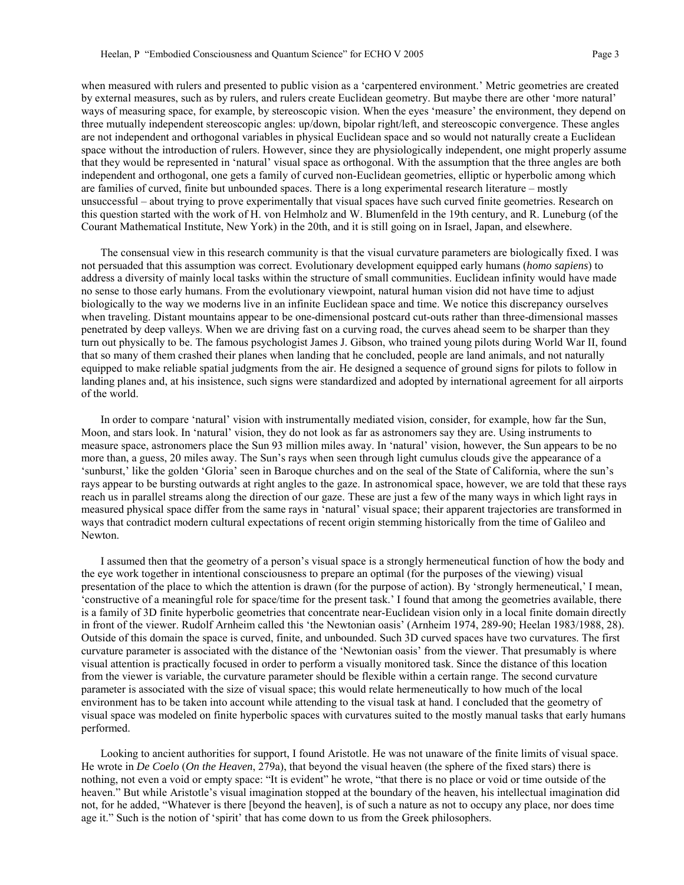when measured with rulers and presented to public vision as a 'carpentered environment.' Metric geometries are created by external measures, such as by rulers, and rulers create Euclidean geometry. But maybe there are other 'more natural' ways of measuring space, for example, by stereoscopic vision. When the eyes 'measure' the environment, they depend on three mutually independent stereoscopic angles: up/down, bipolar right/left, and stereoscopic convergence. These angles are not independent and orthogonal variables in physical Euclidean space and so would not naturally create a Euclidean space without the introduction of rulers. However, since they are physiologically independent, one might properly assume that they would be represented in 'natural' visual space as orthogonal. With the assumption that the three angles are both independent and orthogonal, one gets a family of curved non-Euclidean geometries, elliptic or hyperbolic among which are families of curved, finite but unbounded spaces. There is a long experimental research literature – mostly unsuccessful – about trying to prove experimentally that visual spaces have such curved finite geometries. Research on this question started with the work of H. von Helmholz and W. Blumenfeld in the 19th century, and R. Luneburg (of the Courant Mathematical Institute, New York) in the 20th, and it is still going on in Israel, Japan, and elsewhere.

The consensual view in this research community is that the visual curvature parameters are biologically fixed. I was not persuaded that this assumption was correct. Evolutionary development equipped early humans (*homo sapiens*) to address a diversity of mainly local tasks within the structure of small communities. Euclidean infinity would have made no sense to those early humans. From the evolutionary viewpoint, natural human vision did not have time to adjust biologically to the way we moderns live in an infinite Euclidean space and time. We notice this discrepancy ourselves when traveling. Distant mountains appear to be one-dimensional postcard cut-outs rather than three-dimensional masses penetrated by deep valleys. When we are driving fast on a curving road, the curves ahead seem to be sharper than they turn out physically to be. The famous psychologist James J. Gibson, who trained young pilots during World War II, found that so many of them crashed their planes when landing that he concluded, people are land animals, and not naturally equipped to make reliable spatial judgments from the air. He designed a sequence of ground signs for pilots to follow in landing planes and, at his insistence, such signs were standardized and adopted by international agreement for all airports of the world.

In order to compare 'natural' vision with instrumentally mediated vision, consider, for example, how far the Sun, Moon, and stars look. In 'natural' vision, they do not look as far as astronomers say they are. Using instruments to measure space, astronomers place the Sun 93 million miles away. In 'natural' vision, however, the Sun appears to be no more than, a guess, 20 miles away. The Sun's rays when seen through light cumulus clouds give the appearance of a 'sunburst,' like the golden 'Gloria' seen in Baroque churches and on the seal of the State of California, where the sun's rays appear to be bursting outwards at right angles to the gaze. In astronomical space, however, we are told that these rays reach us in parallel streams along the direction of our gaze. These are just a few of the many ways in which light rays in measured physical space differ from the same rays in 'natural' visual space; their apparent trajectories are transformed in ways that contradict modern cultural expectations of recent origin stemming historically from the time of Galileo and Newton.

I assumed then that the geometry of a person's visual space is a strongly hermeneutical function of how the body and the eye work together in intentional consciousness to prepare an optimal (for the purposes of the viewing) visual presentation of the place to which the attention is drawn (for the purpose of action). By 'strongly hermeneutical,' I mean, 'constructive of a meaningful role for space/time for the present task.' I found that among the geometries available, there is a family of 3D finite hyperbolic geometries that concentrate near-Euclidean vision only in a local finite domain directly in front of the viewer. Rudolf Arnheim called this 'the Newtonian oasis' (Arnheim 1974, 289-90; Heelan 1983/1988, 28). Outside of this domain the space is curved, finite, and unbounded. Such 3D curved spaces have two curvatures. The first curvature parameter is associated with the distance of the 'Newtonian oasis' from the viewer. That presumably is where visual attention is practically focused in order to perform a visually monitored task. Since the distance of this location from the viewer is variable, the curvature parameter should be flexible within a certain range. The second curvature parameter is associated with the size of visual space; this would relate hermeneutically to how much of the local environment has to be taken into account while attending to the visual task at hand. I concluded that the geometry of visual space was modeled on finite hyperbolic spaces with curvatures suited to the mostly manual tasks that early humans performed.

Looking to ancient authorities for support, I found Aristotle. He was not unaware of the finite limits of visual space. He wrote in *De Coelo* (*On the Heaven*, 279a), that beyond the visual heaven (the sphere of the fixed stars) there is nothing, not even a void or empty space: "It is evident" he wrote, "that there is no place or void or time outside of the heaven." But while Aristotle's visual imagination stopped at the boundary of the heaven, his intellectual imagination did not, for he added, "Whatever is there [beyond the heaven], is of such a nature as not to occupy any place, nor does time age it." Such is the notion of 'spirit' that has come down to us from the Greek philosophers.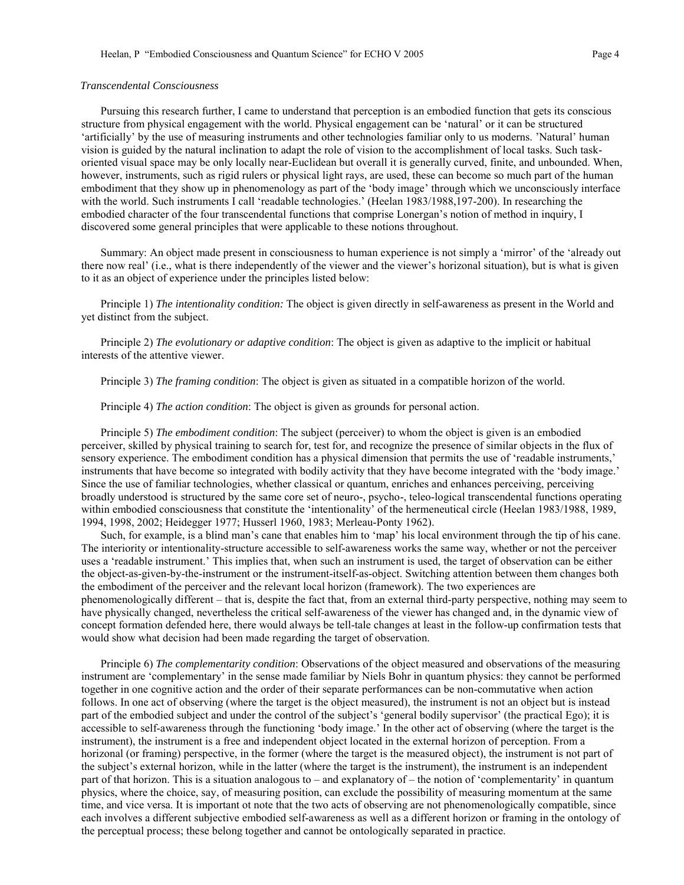## *Transcendental Consciousness*

Pursuing this research further, I came to understand that perception is an embodied function that gets its conscious structure from physical engagement with the world. Physical engagement can be 'natural' or it can be structured 'artificially' by the use of measuring instruments and other technologies familiar only to us moderns. 'Natural' human vision is guided by the natural inclination to adapt the role of vision to the accomplishment of local tasks. Such taskoriented visual space may be only locally near-Euclidean but overall it is generally curved, finite, and unbounded. When, however, instruments, such as rigid rulers or physical light rays, are used, these can become so much part of the human embodiment that they show up in phenomenology as part of the 'body image' through which we unconsciously interface with the world. Such instruments I call 'readable technologies.' (Heelan 1983/1988,197-200). In researching the embodied character of the four transcendental functions that comprise Lonergan's notion of method in inquiry, I discovered some general principles that were applicable to these notions throughout.

Summary: An object made present in consciousness to human experience is not simply a 'mirror' of the 'already out there now real' (i.e., what is there independently of the viewer and the viewer's horizonal situation), but is what is given to it as an object of experience under the principles listed below:

Principle 1) *The intentionality condition:* The object is given directly in self-awareness as present in the World and yet distinct from the subject.

Principle 2) *The evolutionary or adaptive condition*: The object is given as adaptive to the implicit or habitual interests of the attentive viewer.

Principle 3) *The framing condition*: The object is given as situated in a compatible horizon of the world.

Principle 4) *The action condition*: The object is given as grounds for personal action.

Principle 5) *The embodiment condition*: The subject (perceiver) to whom the object is given is an embodied perceiver, skilled by physical training to search for, test for, and recognize the presence of similar objects in the flux of sensory experience. The embodiment condition has a physical dimension that permits the use of 'readable instruments,' instruments that have become so integrated with bodily activity that they have become integrated with the 'body image.' Since the use of familiar technologies, whether classical or quantum, enriches and enhances perceiving, perceiving broadly understood is structured by the same core set of neuro-, psycho-, teleo-logical transcendental functions operating within embodied consciousness that constitute the 'intentionality' of the hermeneutical circle (Heelan 1983/1988, 1989, 1994, 1998, 2002; Heidegger 1977; Husserl 1960, 1983; Merleau-Ponty 1962).

Such, for example, is a blind man's cane that enables him to 'map' his local environment through the tip of his cane. The interiority or intentionality-structure accessible to self-awareness works the same way, whether or not the perceiver uses a 'readable instrument.' This implies that, when such an instrument is used, the target of observation can be either the object-as-given-by-the-instrument or the instrument-itself-as-object. Switching attention between them changes both the embodiment of the perceiver and the relevant local horizon (framework). The two experiences are phenomenologically different – that is, despite the fact that, from an external third-party perspective, nothing may seem to have physically changed, nevertheless the critical self-awareness of the viewer has changed and, in the dynamic view of concept formation defended here, there would always be tell-tale changes at least in the follow-up confirmation tests that would show what decision had been made regarding the target of observation.

Principle 6) *The complementarity condition*: Observations of the object measured and observations of the measuring instrument are 'complementary' in the sense made familiar by Niels Bohr in quantum physics: they cannot be performed together in one cognitive action and the order of their separate performances can be non-commutative when action follows. In one act of observing (where the target is the object measured), the instrument is not an object but is instead part of the embodied subject and under the control of the subject's 'general bodily supervisor' (the practical Ego); it is accessible to self-awareness through the functioning 'body image.' In the other act of observing (where the target is the instrument), the instrument is a free and independent object located in the external horizon of perception. From a horizonal (or framing) perspective, in the former (where the target is the measured object), the instrument is not part of the subject's external horizon, while in the latter (where the target is the instrument), the instrument is an independent part of that horizon. This is a situation analogous to – and explanatory of – the notion of 'complementarity' in quantum physics, where the choice, say, of measuring position, can exclude the possibility of measuring momentum at the same time, and vice versa. It is important ot note that the two acts of observing are not phenomenologically compatible, since each involves a different subjective embodied self-awareness as well as a different horizon or framing in the ontology of the perceptual process; these belong together and cannot be ontologically separated in practice.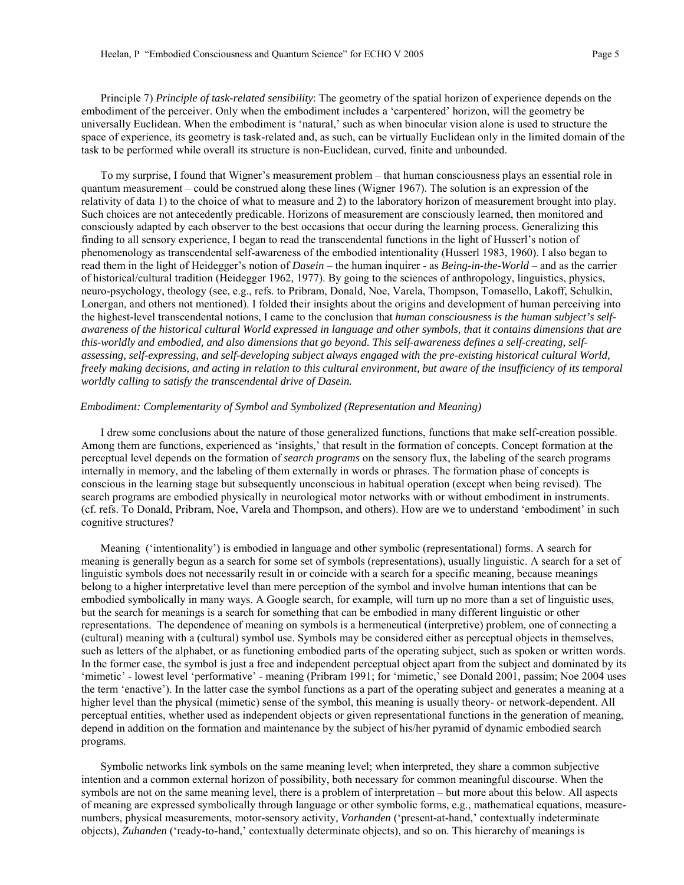Principle 7) *Principle of task-related sensibility*: The geometry of the spatial horizon of experience depends on the embodiment of the perceiver. Only when the embodiment includes a 'carpentered' horizon, will the geometry be universally Euclidean. When the embodiment is 'natural,' such as when binocular vision alone is used to structure the space of experience, its geometry is task-related and, as such, can be virtually Euclidean only in the limited domain of the task to be performed while overall its structure is non-Euclidean, curved, finite and unbounded.

To my surprise, I found that Wigner's measurement problem – that human consciousness plays an essential role in quantum measurement – could be construed along these lines (Wigner 1967). The solution is an expression of the relativity of data 1) to the choice of what to measure and 2) to the laboratory horizon of measurement brought into play. Such choices are not antecedently predicable. Horizons of measurement are consciously learned, then monitored and consciously adapted by each observer to the best occasions that occur during the learning process. Generalizing this finding to all sensory experience, I began to read the transcendental functions in the light of Husserl's notion of phenomenology as transcendental self-awareness of the embodied intentionality (Husserl 1983, 1960). I also began to read them in the light of Heidegger's notion of *Dasein* – the human inquirer - as *Being-in-the-World* – and as the carrier of historical/cultural tradition (Heidegger 1962, 1977). By going to the sciences of anthropology, linguistics, physics, neuro-psychology, theology (see, e.g., refs. to Pribram, Donald, Noe, Varela, Thompson, Tomasello, Lakoff, Schulkin, Lonergan, and others not mentioned). I folded their insights about the origins and development of human perceiving into the highest-level transcendental notions, I came to the conclusion that *human consciousness is the human subject's selfawareness of the historical cultural World expressed in language and other symbols, that it contains dimensions that are this-worldly and embodied, and also dimensions that go beyond. This self-awareness defines a self-creating, selfassessing, self-expressing, and self-developing subject always engaged with the pre-existing historical cultural World, freely making decisions, and acting in relation to this cultural environment, but aware of the insufficiency of its temporal worldly calling to satisfy the transcendental drive of Dasein.* 

# *Embodiment: Complementarity of Symbol and Symbolized (Representation and Meaning)*

I drew some conclusions about the nature of those generalized functions, functions that make self-creation possible. Among them are functions, experienced as 'insights,' that result in the formation of concepts. Concept formation at the perceptual level depends on the formation of *search programs* on the sensory flux, the labeling of the search programs internally in memory, and the labeling of them externally in words or phrases. The formation phase of concepts is conscious in the learning stage but subsequently unconscious in habitual operation (except when being revised). The search programs are embodied physically in neurological motor networks with or without embodiment in instruments. (cf. refs. To Donald, Pribram, Noe, Varela and Thompson, and others). How are we to understand 'embodiment' in such cognitive structures?

Meaning ('intentionality') is embodied in language and other symbolic (representational) forms. A search for meaning is generally begun as a search for some set of symbols (representations), usually linguistic. A search for a set of linguistic symbols does not necessarily result in or coincide with a search for a specific meaning, because meanings belong to a higher interpretative level than mere perception of the symbol and involve human intentions that can be embodied symbolically in many ways. A Google search, for example, will turn up no more than a set of linguistic uses, but the search for meanings is a search for something that can be embodied in many different linguistic or other representations. The dependence of meaning on symbols is a hermeneutical (interpretive) problem, one of connecting a (cultural) meaning with a (cultural) symbol use. Symbols may be considered either as perceptual objects in themselves, such as letters of the alphabet, or as functioning embodied parts of the operating subject, such as spoken or written words. In the former case, the symbol is just a free and independent perceptual object apart from the subject and dominated by its 'mimetic' - lowest level 'performative' - meaning (Pribram 1991; for 'mimetic,' see Donald 2001, passim; Noe 2004 uses the term 'enactive'). In the latter case the symbol functions as a part of the operating subject and generates a meaning at a higher level than the physical (mimetic) sense of the symbol, this meaning is usually theory- or network-dependent. All perceptual entities, whether used as independent objects or given representational functions in the generation of meaning, depend in addition on the formation and maintenance by the subject of his/her pyramid of dynamic embodied search programs.

Symbolic networks link symbols on the same meaning level; when interpreted, they share a common subjective intention and a common external horizon of possibility, both necessary for common meaningful discourse. When the symbols are not on the same meaning level, there is a problem of interpretation – but more about this below. All aspects of meaning are expressed symbolically through language or other symbolic forms, e.g., mathematical equations, measurenumbers, physical measurements, motor-sensory activity, *Vorhanden* ('present-at-hand,' contextually indeterminate objects), *Zuhanden* ('ready-to-hand,' contextually determinate objects), and so on. This hierarchy of meanings is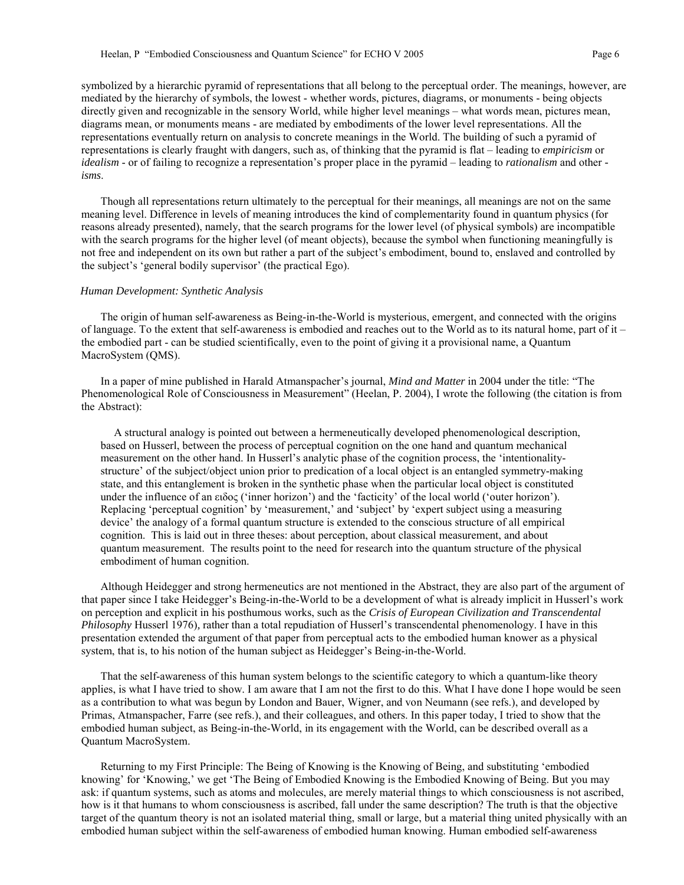symbolized by a hierarchic pyramid of representations that all belong to the perceptual order. The meanings, however, are mediated by the hierarchy of symbols, the lowest - whether words, pictures, diagrams, or monuments - being objects directly given and recognizable in the sensory World, while higher level meanings – what words mean, pictures mean, diagrams mean, or monuments means - are mediated by embodiments of the lower level representations. All the representations eventually return on analysis to concrete meanings in the World. The building of such a pyramid of representations is clearly fraught with dangers, such as, of thinking that the pyramid is flat – leading to *empiricism* or *idealism* - or of failing to recognize a representation's proper place in the pyramid – leading to *rationalism* and other  *isms*.

Though all representations return ultimately to the perceptual for their meanings, all meanings are not on the same meaning level. Difference in levels of meaning introduces the kind of complementarity found in quantum physics (for reasons already presented), namely, that the search programs for the lower level (of physical symbols) are incompatible with the search programs for the higher level (of meant objects), because the symbol when functioning meaningfully is not free and independent on its own but rather a part of the subject's embodiment, bound to, enslaved and controlled by the subject's 'general bodily supervisor' (the practical Ego).

## *Human Development: Synthetic Analysis*

The origin of human self-awareness as Being-in-the-World is mysterious, emergent, and connected with the origins of language. To the extent that self-awareness is embodied and reaches out to the World as to its natural home, part of it – the embodied part - can be studied scientifically, even to the point of giving it a provisional name, a Quantum MacroSystem (QMS).

In a paper of mine published in Harald Atmanspacher's journal, *Mind and Matter* in 2004 under the title: "The Phenomenological Role of Consciousness in Measurement" (Heelan, P. 2004), I wrote the following (the citation is from the Abstract):

A structural analogy is pointed out between a hermeneutically developed phenomenological description, based on Husserl, between the process of perceptual cognition on the one hand and quantum mechanical measurement on the other hand. In Husserl's analytic phase of the cognition process, the 'intentionalitystructure' of the subject/object union prior to predication of a local object is an entangled symmetry-making state, and this entanglement is broken in the synthetic phase when the particular local object is constituted under the influence of an ειδoς ('inner horizon') and the 'facticity' of the local world ('outer horizon'). Replacing 'perceptual cognition' by 'measurement,' and 'subject' by 'expert subject using a measuring device' the analogy of a formal quantum structure is extended to the conscious structure of all empirical cognition. This is laid out in three theses: about perception, about classical measurement, and about quantum measurement. The results point to the need for research into the quantum structure of the physical embodiment of human cognition.

Although Heidegger and strong hermeneutics are not mentioned in the Abstract, they are also part of the argument of that paper since I take Heidegger's Being-in-the-World to be a development of what is already implicit in Husserl's work on perception and explicit in his posthumous works, such as the *Crisis of European Civilization and Transcendental Philosophy* Husserl 1976)*,* rather than a total repudiation of Husserl's transcendental phenomenology. I have in this presentation extended the argument of that paper from perceptual acts to the embodied human knower as a physical system, that is, to his notion of the human subject as Heidegger's Being-in-the-World.

That the self-awareness of this human system belongs to the scientific category to which a quantum-like theory applies, is what I have tried to show. I am aware that I am not the first to do this. What I have done I hope would be seen as a contribution to what was begun by London and Bauer, Wigner, and von Neumann (see refs.), and developed by Primas, Atmanspacher, Farre (see refs.), and their colleagues, and others. In this paper today, I tried to show that the embodied human subject, as Being-in-the-World, in its engagement with the World, can be described overall as a Quantum MacroSystem.

Returning to my First Principle: The Being of Knowing is the Knowing of Being, and substituting 'embodied knowing' for 'Knowing,' we get 'The Being of Embodied Knowing is the Embodied Knowing of Being. But you may ask: if quantum systems, such as atoms and molecules, are merely material things to which consciousness is not ascribed, how is it that humans to whom consciousness is ascribed, fall under the same description? The truth is that the objective target of the quantum theory is not an isolated material thing, small or large, but a material thing united physically with an embodied human subject within the self-awareness of embodied human knowing. Human embodied self-awareness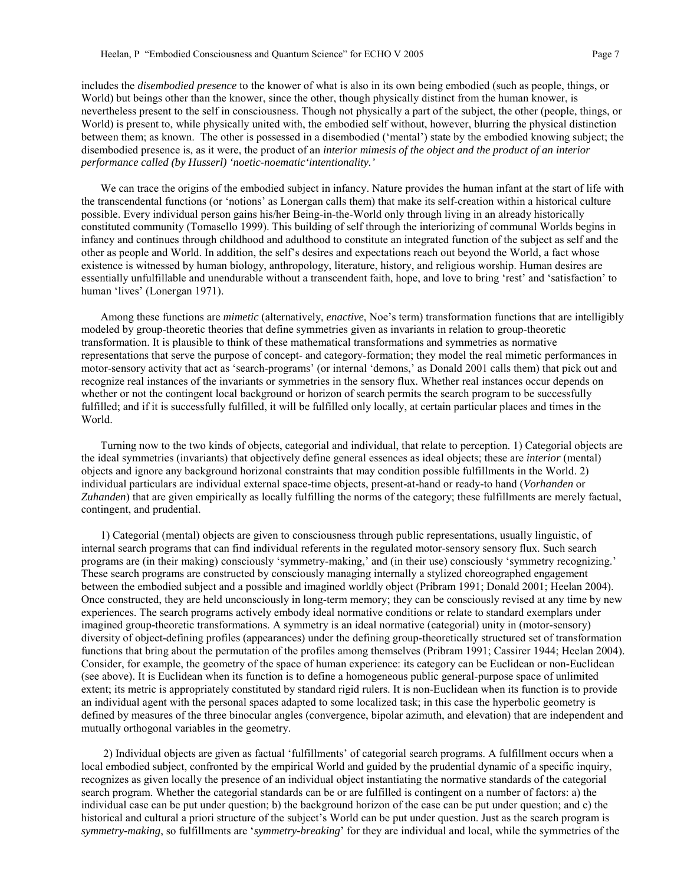includes the *disembodied presence* to the knower of what is also in its own being embodied (such as people, things, or World) but beings other than the knower, since the other, though physically distinct from the human knower, is nevertheless present to the self in consciousness. Though not physically a part of the subject, the other (people, things, or World) is present to, while physically united with, the embodied self without, however, blurring the physical distinction between them; as known. The other is possessed in a disembodied ('mental') state by the embodied knowing subject; the disembodied presence is, as it were, the product of an *interior mimesis of the object and the product of an interior performance called (by Husserl) 'noetic-noematic'intentionality.'*

We can trace the origins of the embodied subject in infancy. Nature provides the human infant at the start of life with the transcendental functions (or 'notions' as Lonergan calls them) that make its self-creation within a historical culture possible. Every individual person gains his/her Being-in-the-World only through living in an already historically constituted community (Tomasello 1999). This building of self through the interiorizing of communal Worlds begins in infancy and continues through childhood and adulthood to constitute an integrated function of the subject as self and the other as people and World. In addition, the self's desires and expectations reach out beyond the World, a fact whose existence is witnessed by human biology, anthropology, literature, history, and religious worship. Human desires are essentially unfulfillable and unendurable without a transcendent faith, hope, and love to bring 'rest' and 'satisfaction' to human 'lives' (Lonergan 1971).

Among these functions are *mimetic* (alternatively, *enactive*, Noe's term) transformation functions that are intelligibly modeled by group-theoretic theories that define symmetries given as invariants in relation to group-theoretic transformation. It is plausible to think of these mathematical transformations and symmetries as normative representations that serve the purpose of concept- and category-formation; they model the real mimetic performances in motor-sensory activity that act as 'search-programs' (or internal 'demons,' as Donald 2001 calls them) that pick out and recognize real instances of the invariants or symmetries in the sensory flux. Whether real instances occur depends on whether or not the contingent local background or horizon of search permits the search program to be successfully fulfilled; and if it is successfully fulfilled, it will be fulfilled only locally, at certain particular places and times in the World.

Turning now to the two kinds of objects, categorial and individual, that relate to perception. 1) Categorial objects are the ideal symmetries (invariants) that objectively define general essences as ideal objects; these are *interior* (mental) objects and ignore any background horizonal constraints that may condition possible fulfillments in the World. 2) individual particulars are individual external space-time objects, present-at-hand or ready-to hand (*Vorhanden* or *Zuhanden*) that are given empirically as locally fulfilling the norms of the category; these fulfillments are merely factual, contingent, and prudential.

1) Categorial (mental) objects are given to consciousness through public representations, usually linguistic, of internal search programs that can find individual referents in the regulated motor-sensory sensory flux. Such search programs are (in their making) consciously 'symmetry-making,' and (in their use) consciously 'symmetry recognizing.' These search programs are constructed by consciously managing internally a stylized choreographed engagement between the embodied subject and a possible and imagined worldly object (Pribram 1991; Donald 2001; Heelan 2004). Once constructed, they are held unconsciously in long-term memory; they can be consciously revised at any time by new experiences. The search programs actively embody ideal normative conditions or relate to standard exemplars under imagined group-theoretic transformations. A symmetry is an ideal normative (categorial) unity in (motor-sensory) diversity of object-defining profiles (appearances) under the defining group-theoretically structured set of transformation functions that bring about the permutation of the profiles among themselves (Pribram 1991; Cassirer 1944; Heelan 2004). Consider, for example, the geometry of the space of human experience: its category can be Euclidean or non-Euclidean (see above). It is Euclidean when its function is to define a homogeneous public general-purpose space of unlimited extent; its metric is appropriately constituted by standard rigid rulers. It is non-Euclidean when its function is to provide an individual agent with the personal spaces adapted to some localized task; in this case the hyperbolic geometry is defined by measures of the three binocular angles (convergence, bipolar azimuth, and elevation) that are independent and mutually orthogonal variables in the geometry.

 2) Individual objects are given as factual 'fulfillments' of categorial search programs. A fulfillment occurs when a local embodied subject, confronted by the empirical World and guided by the prudential dynamic of a specific inquiry, recognizes as given locally the presence of an individual object instantiating the normative standards of the categorial search program. Whether the categorial standards can be or are fulfilled is contingent on a number of factors: a) the individual case can be put under question; b) the background horizon of the case can be put under question; and c) the historical and cultural a priori structure of the subject's World can be put under question. Just as the search program is *symmetry-making*, so fulfillments are '*symmetry-breaking*' for they are individual and local, while the symmetries of the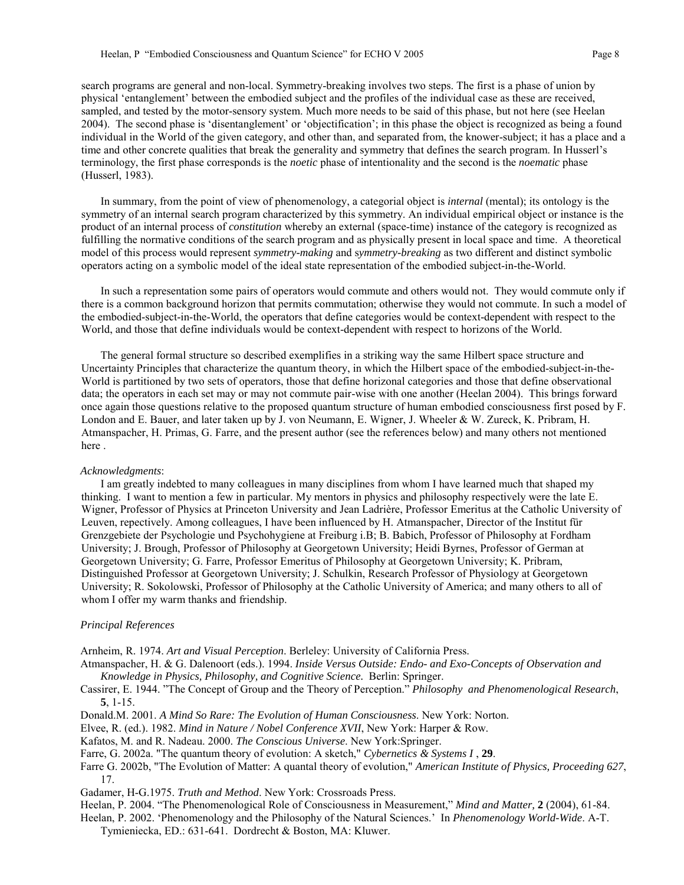search programs are general and non-local. Symmetry-breaking involves two steps. The first is a phase of union by physical 'entanglement' between the embodied subject and the profiles of the individual case as these are received, sampled, and tested by the motor-sensory system. Much more needs to be said of this phase, but not here (see Heelan 2004). The second phase is 'disentanglement' or 'objectification'; in this phase the object is recognized as being a found individual in the World of the given category, and other than, and separated from, the knower-subject; it has a place and a time and other concrete qualities that break the generality and symmetry that defines the search program. In Husserl's terminology, the first phase corresponds is the *noetic* phase of intentionality and the second is the *noematic* phase (Husserl, 1983).

In summary, from the point of view of phenomenology, a categorial object is *internal* (mental); its ontology is the symmetry of an internal search program characterized by this symmetry. An individual empirical object or instance is the product of an internal process of *constitution* whereby an external (space-time) instance of the category is recognized as fulfilling the normative conditions of the search program and as physically present in local space and time. A theoretical model of this process would represent *symmetry-making* and s*ymmetry-breaking* as two different and distinct symbolic operators acting on a symbolic model of the ideal state representation of the embodied subject-in-the-World.

In such a representation some pairs of operators would commute and others would not. They would commute only if there is a common background horizon that permits commutation; otherwise they would not commute. In such a model of the embodied-subject-in-the-World, the operators that define categories would be context-dependent with respect to the World, and those that define individuals would be context-dependent with respect to horizons of the World.

The general formal structure so described exemplifies in a striking way the same Hilbert space structure and Uncertainty Principles that characterize the quantum theory, in which the Hilbert space of the embodied-subject-in-the-World is partitioned by two sets of operators, those that define horizonal categories and those that define observational data; the operators in each set may or may not commute pair-wise with one another (Heelan 2004). This brings forward once again those questions relative to the proposed quantum structure of human embodied consciousness first posed by F. London and E. Bauer, and later taken up by J. von Neumann, E. Wigner, J. Wheeler & W. Zureck, K. Pribram, H. Atmanspacher, H. Primas, G. Farre, and the present author (see the references below) and many others not mentioned here .

## *Acknowledgments*:

I am greatly indebted to many colleagues in many disciplines from whom I have learned much that shaped my thinking. I want to mention a few in particular. My mentors in physics and philosophy respectively were the late E. Wigner, Professor of Physics at Princeton University and Jean Ladrière, Professor Emeritus at the Catholic University of Leuven, repectively. Among colleagues, I have been influenced by H. Atmanspacher, Director of the Institut für Grenzgebiete der Psychologie und Psychohygiene at Freiburg i.B; B. Babich, Professor of Philosophy at Fordham University; J. Brough, Professor of Philosophy at Georgetown University; Heidi Byrnes, Professor of German at Georgetown University; G. Farre, Professor Emeritus of Philosophy at Georgetown University; K. Pribram, Distinguished Professor at Georgetown University; J. Schulkin, Research Professor of Physiology at Georgetown University; R. Sokolowski, Professor of Philosophy at the Catholic University of America; and many others to all of whom I offer my warm thanks and friendship.

# *Principal References*

Arnheim, R. 1974. *Art and Visual Perception*. Berleley: University of California Press.

Atmanspacher, H. & G. Dalenoort (eds.). 1994. *Inside Versus Outside: Endo- and Exo-Concepts of Observation and Knowledge in Physics, Philosophy, and Cognitive Science.* Berlin: Springer.

Cassirer, E. 1944. "The Concept of Group and the Theory of Perception." *Philosophy and Phenomenological Research*, **5**, 1-15.

Donald.M. 2001. *A Mind So Rare: The Evolution of Human Consciousness*. New York: Norton.

Elvee, R. (ed.). 1982. *Mind in Nature / Nobel Conference XVII*, New York: Harper & Row.

Kafatos, M. and R. Nadeau. 2000. *The Conscious Universe*. New York:Springer.

Farre, G. 2002a. "The quantum theory of evolution: A sketch," *Cybernetics & Systems I* , **29**.

Farre G. 2002b, "The Evolution of Matter: A quantal theory of evolution," *American Institute of Physics, Proceeding 627*, 17.

Gadamer, H-G.1975. *Truth and Method*. New York: Crossroads Press.

Heelan, P. 2004. "The Phenomenological Role of Consciousness in Measurement," *Mind and Matter,* **2** (2004), 61-84.

Heelan, P. 2002. 'Phenomenology and the Philosophy of the Natural Sciences.' In *Phenomenology World-Wide*. A-T. Tymieniecka, ED.: 631-641. Dordrecht & Boston, MA: Kluwer.